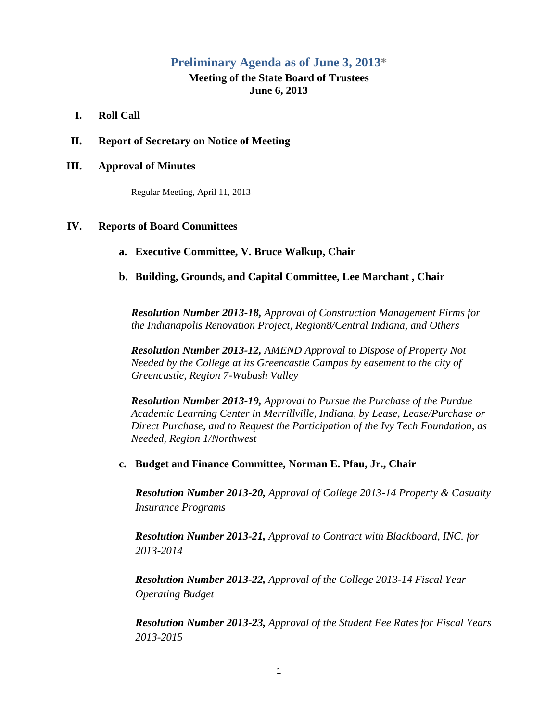# **Preliminary Agenda as of June 3, 2013\***

## **Meeting of the State Board of Trustees June 6, 2013**

- **I. Roll Call**
- **II. Report of Secretary on Notice of Meeting**

### **III. Approval of Minutes**

Regular Meeting, April 11, 2013

### **IV. Reports of Board Committees**

**a. Executive Committee, V. Bruce Walkup, Chair**

### **b. Building, Grounds, and Capital Committee, Lee Marchant , Chair**

*Resolution Number 2013-18, Approval of Construction Management Firms for the Indianapolis Renovation Project, Region8/Central Indiana, and Others*

*Resolution Number 2013-12, AMEND Approval to Dispose of Property Not Needed by the College at its Greencastle Campus by easement to the city of Greencastle, Region 7-Wabash Valley*

*Resolution Number 2013-19, Approval to Pursue the Purchase of the Purdue Academic Learning Center in Merrillville, Indiana, by Lease, Lease/Purchase or Direct Purchase, and to Request the Participation of the Ivy Tech Foundation, as Needed, Region 1/Northwest*

**c. Budget and Finance Committee, Norman E. Pfau, Jr., Chair**

*Resolution Number 2013-20, Approval of College 2013-14 Property & Casualty Insurance Programs*

*Resolution Number 2013-21, Approval to Contract with Blackboard, INC. for 2013-2014*

*Resolution Number 2013-22, Approval of the College 2013-14 Fiscal Year Operating Budget*

*Resolution Number 2013-23, Approval of the Student Fee Rates for Fiscal Years 2013-2015*